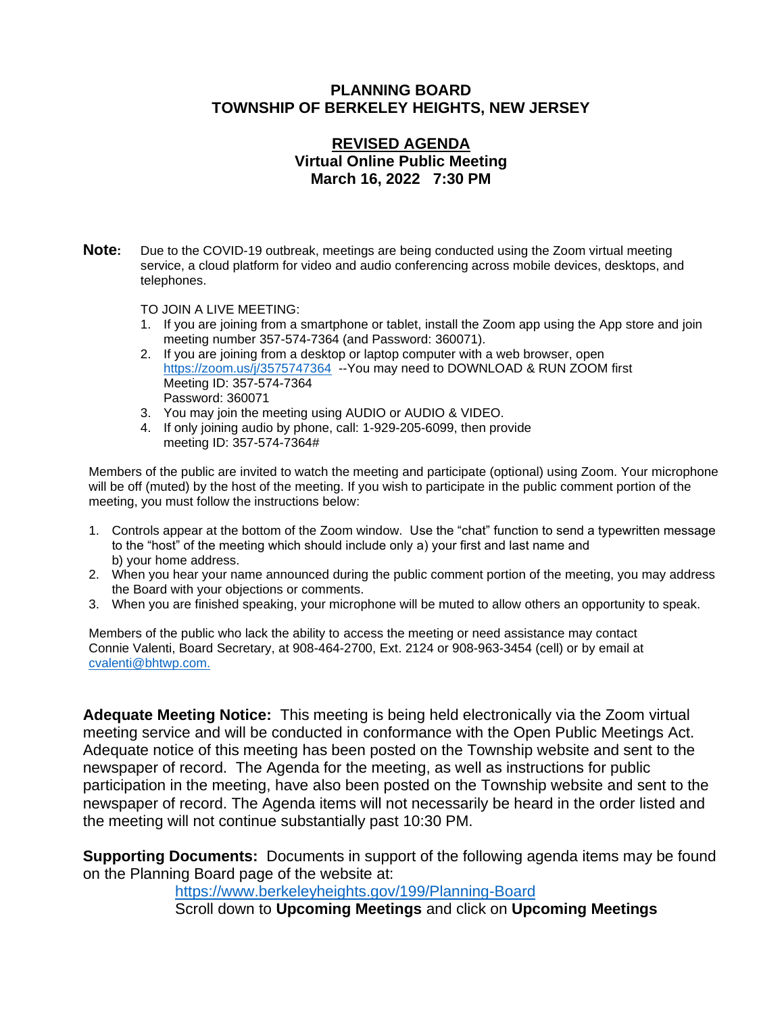#### **PLANNING BOARD TOWNSHIP OF BERKELEY HEIGHTS, NEW JERSEY**

## **REVISED AGENDA Virtual Online Public Meeting March 16, 2022 7:30 PM**

**Note:** Due to the COVID-19 outbreak, meetings are being conducted using the Zoom virtual meeting service, a cloud platform for video and audio conferencing across mobile devices, desktops, and telephones.

TO JOIN A LIVE MEETING:

- 1. If you are joining from a smartphone or tablet, install the Zoom app using the App store and join meeting number 357-574-7364 (and Password: 360071).
- 2. If you are joining from a desktop or laptop computer with a web browser, open <https://zoom.us/j/3575747364>--You may need to DOWNLOAD & RUN ZOOM first Meeting ID: 357-574-7364 Password: 360071
- 3. You may join the meeting using AUDIO or AUDIO & VIDEO.
- 4. If only joining audio by phone, call: 1-929-205-6099, then provide meeting ID: 357-574-7364#

Members of the public are invited to watch the meeting and participate (optional) using Zoom. Your microphone will be off (muted) by the host of the meeting. If you wish to participate in the public comment portion of the meeting, you must follow the instructions below:

- 1. Controls appear at the bottom of the Zoom window. Use the "chat" function to send a typewritten message to the "host" of the meeting which should include only a) your first and last name and b) your home address.
- 2. When you hear your name announced during the public comment portion of the meeting, you may address the Board with your objections or comments.
- 3. When you are finished speaking, your microphone will be muted to allow others an opportunity to speak.

Members of the public who lack the ability to access the meeting or need assistance may contact Connie Valenti, Board Secretary, at 908-464-2700, Ext. 2124 or 908-963-3454 (cell) or by email at [cvalenti@bhtwp.com.](mailto:cvalenti@bhtwp.com)

**Adequate Meeting Notice:** This meeting is being held electronically via the Zoom virtual meeting service and will be conducted in conformance with the Open Public Meetings Act. Adequate notice of this meeting has been posted on the Township website and sent to the newspaper of record. The Agenda for the meeting, as well as instructions for public participation in the meeting, have also been posted on the Township website and sent to the newspaper of record. The Agenda items will not necessarily be heard in the order listed and the meeting will not continue substantially past 10:30 PM.

**Supporting Documents:** Documents in support of the following agenda items may be found on the Planning Board page of the website at:

<https://www.berkeleyheights.gov/199/Planning-Board>

Scroll down to **Upcoming Meetings** and click on **Upcoming Meetings**